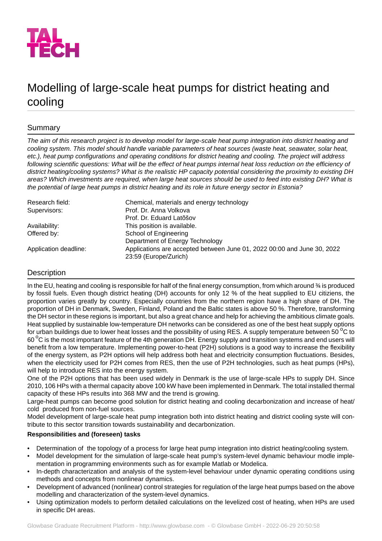

# Modelling of large-scale heat pumps for district heating and cooling

## Summary

*The aim of this research project is to develop model for large-scale heat pump integration into district heating and cooling system. This model should handle variable parameters of heat sources (waste heat, seawater, solar heat, etc.), heat pump configurations and operating conditions for district heating and cooling. The project will address following scientific questions: What will be the effect of heat pumps internal heat loss reduction on the efficiency of district heating/cooling systems? What is the realistic HP capacity potential considering the proximity to existing DH areas? Which investments are required, when large heat sources should be used to feed into existing DH? What is the potential of large heat pumps in district heating and its role in future energy sector in Estonia?*

| Research field:       | Chemical, materials and energy technology                                                        |
|-----------------------|--------------------------------------------------------------------------------------------------|
| Supervisors:          | Prof. Dr. Anna Volkova                                                                           |
|                       | Prof. Dr. Eduard Latõšov                                                                         |
| Availability:         | This position is available.                                                                      |
| Offered by:           | School of Engineering                                                                            |
|                       | Department of Energy Technology                                                                  |
| Application deadline: | Applications are accepted between June 01, 2022 00:00 and June 30, 2022<br>23:59 (Europe/Zurich) |

## Description

In the EU, heating and cooling is responsible for half of the final energy consumption, from which around % is produced by fossil fuels. Even though district heating (DH) accounts for only 12 % of the heat supplied to EU citiziens, the proportion varies greatly by country. Especially countries from the northern region have a high share of DH. The proportion of DH in Denmark, Sweden, Finland, Poland and the Baltic states is above 50 %. Therefore, transforming the DH sector in these regions is important, but also a great chance and help for achieving the ambitious climate goals. Heat supplied by sustainable low-temperature DH networks can be considered as one of the best heat supply options for urban buildings due to lower heat losses and the possibility of using RES. A supply temperature between 50 $\,^{\circ}$ C to 60  $^{\circ}$ C is the most important feature of the 4th generation DH. Energy supply and transition systems and end users will benefit from a low temperature. Implementing power-to-heat (P2H) solutions is a good way to increase the flexibility of the energy system, as P2H options will help address both heat and electricity consumption fluctuations. Besides, when the electricity used for P2H comes from RES, then the use of P2H technologies, such as heat pumps (HPs), will help to introduce RES into the energy system.

One of the P2H options that has been used widely in Denmark is the use of large-scale HPs to supply DH. Since 2010, 106 HPs with a thermal capacity above 100 kW have been implemented in Denmark. The total installed thermal capacity of these HPs results into 368 MW and the trend is growing.

Large-heat pumps can become good solution for district heating and cooling decarbonization and increase of heat/ cold produced from non-fuel sources.

Model development of large-scale heat pump integration both into district heating and district cooling syste will contribute to this sector transition towards sustainability and decarbonization.

## **Responsibilities and (foreseen) tasks**

- Determination of the topology of a process for large heat pump integration into district heating/cooling system.
- Model development for the simulation of large-scale heat pump's system-level dynamic behaviour modle implementation in programming environments such as for example Matlab or Modelica.
- In-depth characterization and analysis of the system-level behaviour under dynamic operating conditions using methods and concepts from nonlinear dynamics.
- Development of advanced (nonlinear) control strategies for regulation of the large heat pumps based on the above modelling and characterization of the system-level dynamics.
- Using optimization models to perform detailed calculations on the levelized cost of heating, when HPs are used in specific DH areas.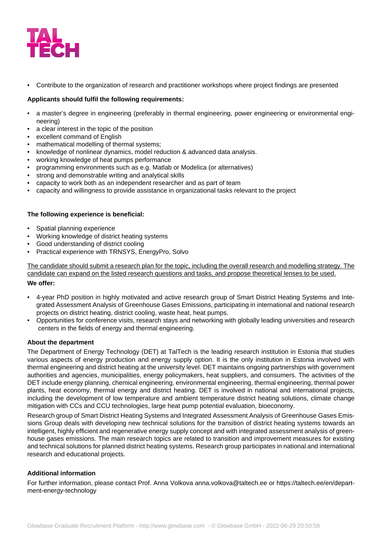

• Contribute to the organization of research and practitioner workshops where project findings are presented

## **Applicants should fulfil the following requirements:**

- a master's degree in engineering (preferably in thermal engineering, power engineering or environmental engineering)
- a clear interest in the topic of the position
- excellent command of English
- mathematical modelling of thermal systems:
- knowledge of nonlinear dynamics, model reduction & advanced data analysis.
- working knowledge of heat pumps performance
- programming environments such as e.g. Matlab or Modelica (or alternatives)
- strong and demonstrable writing and analytical skills
- capacity to work both as an independent researcher and as part of team
- capacity and willingness to provide assistance in organizational tasks relevant to the project

### **The following experience is beneficial:**

- Spatial planning experience
- Working knowledge of district heating systems
- Good understanding of district cooling
- Practical experience with TRNSYS, EnergyPro, Solvo

The candidate should submit a research plan for the topic, including the overall research and modelling strategy. The candidate can expand on the listed research questions and tasks, and propose theoretical lenses to be used.

### **We offer:**

- 4-year PhD position in highly motivated and active research group of Smart District Heating Systems and Integrated Assessment Analysis of Greenhouse Gases Emissions, participating in international and national research projects on district heating, district cooling, waste heat, heat pumps.
- Opportunities for conference visits, research stays and networking with globally leading universities and research centers in the fields of energy and thermal engineering.

### **About the department**

The Department of Energy Technology (DET) at TalTech is the leading research institution in Estonia that studies various aspects of energy production and energy supply option. It is the only institution in Estonia involved with thermal engineering and district heating at the university level. DET maintains ongoing partnerships with government authorities and agencies, municipalities, energy policymakers, heat suppliers, and consumers. The activities of the DET include energy planning, chemical engineering, environmental engineering, thermal engineering, thermal power plants, heat economy, thermal energy and district heating. DET is involved in national and international projects, including the development of low temperature and ambient temperature district heating solutions, climate change mitigation with CCs and CCU technologies, large heat pump potential evaluation, bioeconomy.

Research group of Smart District Heating Systems and Integrated Assessment Analysis of Greenhouse Gases Emissions Group deals with developing new technical solutions for the transition of district heating systems towards an intelligent, highly efficient and regenerative energy supply concept and with integrated assessment analysis of greenhouse gases emissions. The main research topics are related to transition and improvement measures for existing and technical solutions for planned district heating systems. Research group participates in national and international research and educational projects.

### **Additional information**

For further information, please contact Prof. Anna Volkova anna.volkova@taltech.ee or https://taltech.ee/en/department-energy-technology